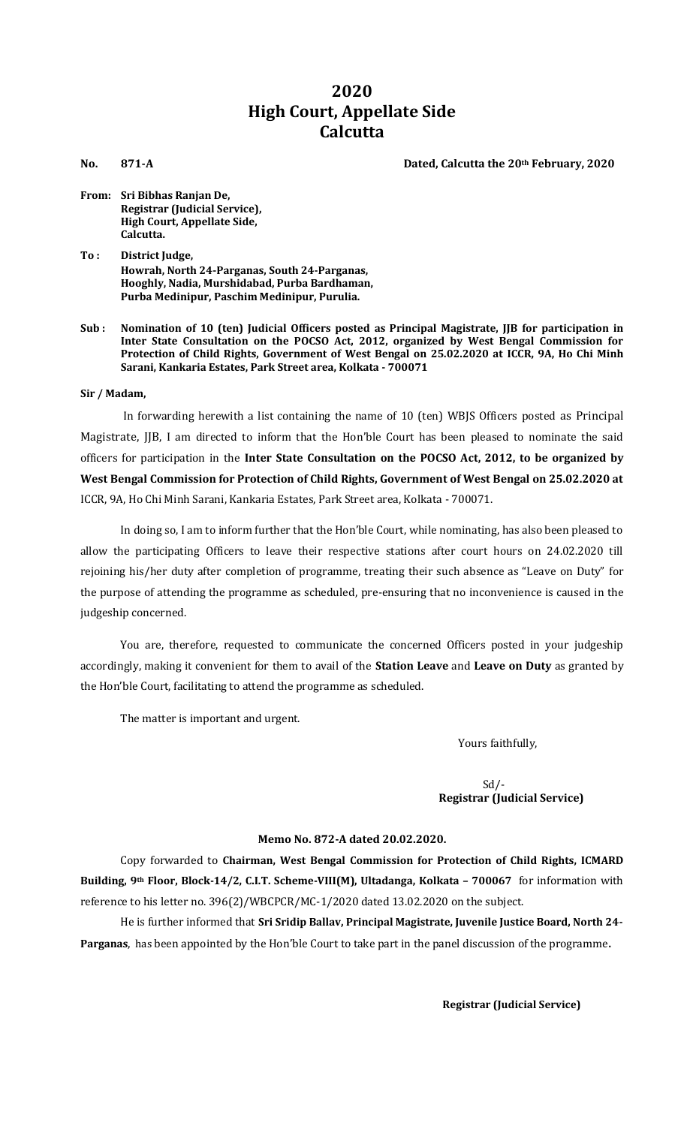# **2020 High Court, Appellate Side Calcutta**

**No. 871-A Dated, Calcutta the 20th February, 2020**

- **From: Sri Bibhas Ranjan De, Registrar (Judicial Service), High Court, Appellate Side, Calcutta.**
- **To : District Judge, Howrah, North 24-Parganas, South 24-Parganas, Hooghly, Nadia, Murshidabad, Purba Bardhaman, Purba Medinipur, Paschim Medinipur, Purulia.**
- **Sub : Nomination of 10 (ten) Judicial Officers posted as Principal Magistrate, JJB for participation in Inter State Consultation on the POCSO Act, 2012, organized by West Bengal Commission for Protection of Child Rights, Government of West Bengal on 25.02.2020 at ICCR, 9A, Ho Chi Minh Sarani, Kankaria Estates, Park Street area, Kolkata - 700071**

## **Sir / Madam,**

In forwarding herewith a list containing the name of 10 (ten) WBJS Officers posted as Principal Magistrate, JJB, I am directed to inform that the Hon'ble Court has been pleased to nominate the said officers for participation in the **Inter State Consultation on the POCSO Act, 2012, to be organized by West Bengal Commission for Protection of Child Rights, Government of West Bengal on 25.02.2020 at**  ICCR, 9A, Ho Chi Minh Sarani, Kankaria Estates, Park Street area, Kolkata - 700071.

In doing so, I am to inform further that the Hon'ble Court, while nominating, has also been pleased to allow the participating Officers to leave their respective stations after court hours on 24.02.2020 till rejoining his/her duty after completion of programme, treating their such absence as "Leave on Duty" for the purpose of attending the programme as scheduled, pre-ensuring that no inconvenience is caused in the judgeship concerned.

You are, therefore, requested to communicate the concerned Officers posted in your judgeship accordingly, making it convenient for them to avail of the **Station Leave** and **Leave on Duty** as granted by the Hon'ble Court, facilitating to attend the programme as scheduled.

The matter is important and urgent.

Yours faithfully,

Sd/-  **Registrar (Judicial Service)**

# **Memo No. 872-A dated 20.02.2020.**

Copy forwarded to **Chairman, West Bengal Commission for Protection of Child Rights, ICMARD Building, 9th Floor, Block-14/2, C.I.T. Scheme-VIII(M), Ultadanga, Kolkata – 700067** for information with reference to his letter no. 396(2)/WBCPCR/MC-1/2020 dated 13.02.2020 on the subject.

He is further informed that **Sri Sridip Ballav, Principal Magistrate, Juvenile Justice Board, North 24- Parganas**, has been appointed by the Hon'ble Court to take part in the panel discussion of the programme**.**

**Registrar (Judicial Service)**